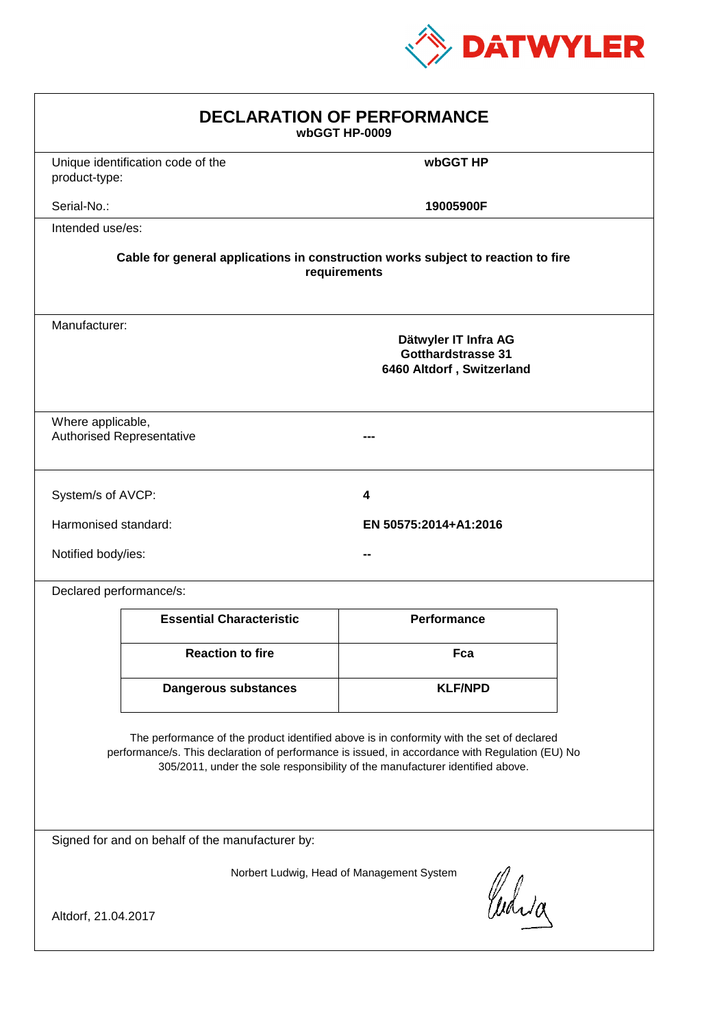

| <b>DECLARATION OF PERFORMANCE</b><br>wbGGT HP-0009                                                                                                                                                                                                                            |                                                                                          |                       |  |  |  |
|-------------------------------------------------------------------------------------------------------------------------------------------------------------------------------------------------------------------------------------------------------------------------------|------------------------------------------------------------------------------------------|-----------------------|--|--|--|
| product-type:                                                                                                                                                                                                                                                                 | Unique identification code of the                                                        | wbGGT HP              |  |  |  |
| Serial-No.:                                                                                                                                                                                                                                                                   |                                                                                          | 19005900F             |  |  |  |
| Intended use/es:                                                                                                                                                                                                                                                              |                                                                                          |                       |  |  |  |
| Cable for general applications in construction works subject to reaction to fire<br>requirements                                                                                                                                                                              |                                                                                          |                       |  |  |  |
|                                                                                                                                                                                                                                                                               | Manufacturer:<br>Dätwyler IT Infra AG<br>Gotthardstrasse 31<br>6460 Altdorf, Switzerland |                       |  |  |  |
|                                                                                                                                                                                                                                                                               | Where applicable,<br><b>Authorised Representative</b>                                    |                       |  |  |  |
| System/s of AVCP:                                                                                                                                                                                                                                                             |                                                                                          | 4                     |  |  |  |
| Harmonised standard:                                                                                                                                                                                                                                                          |                                                                                          | EN 50575:2014+A1:2016 |  |  |  |
| Notified body/ies:                                                                                                                                                                                                                                                            |                                                                                          |                       |  |  |  |
| Declared performance/s:                                                                                                                                                                                                                                                       |                                                                                          |                       |  |  |  |
|                                                                                                                                                                                                                                                                               | <b>Essential Characteristic</b>                                                          | <b>Performance</b>    |  |  |  |
|                                                                                                                                                                                                                                                                               | <b>Reaction to fire</b>                                                                  | Fca                   |  |  |  |
|                                                                                                                                                                                                                                                                               | <b>Dangerous substances</b>                                                              | <b>KLF/NPD</b>        |  |  |  |
| The performance of the product identified above is in conformity with the set of declared<br>performance/s. This declaration of performance is issued, in accordance with Regulation (EU) No<br>305/2011, under the sole responsibility of the manufacturer identified above. |                                                                                          |                       |  |  |  |
| Signed for and on behalf of the manufacturer by:                                                                                                                                                                                                                              |                                                                                          |                       |  |  |  |
| Norbert Ludwig, Head of Management System<br>Curia                                                                                                                                                                                                                            |                                                                                          |                       |  |  |  |
| Altdorf, 21.04.2017                                                                                                                                                                                                                                                           |                                                                                          |                       |  |  |  |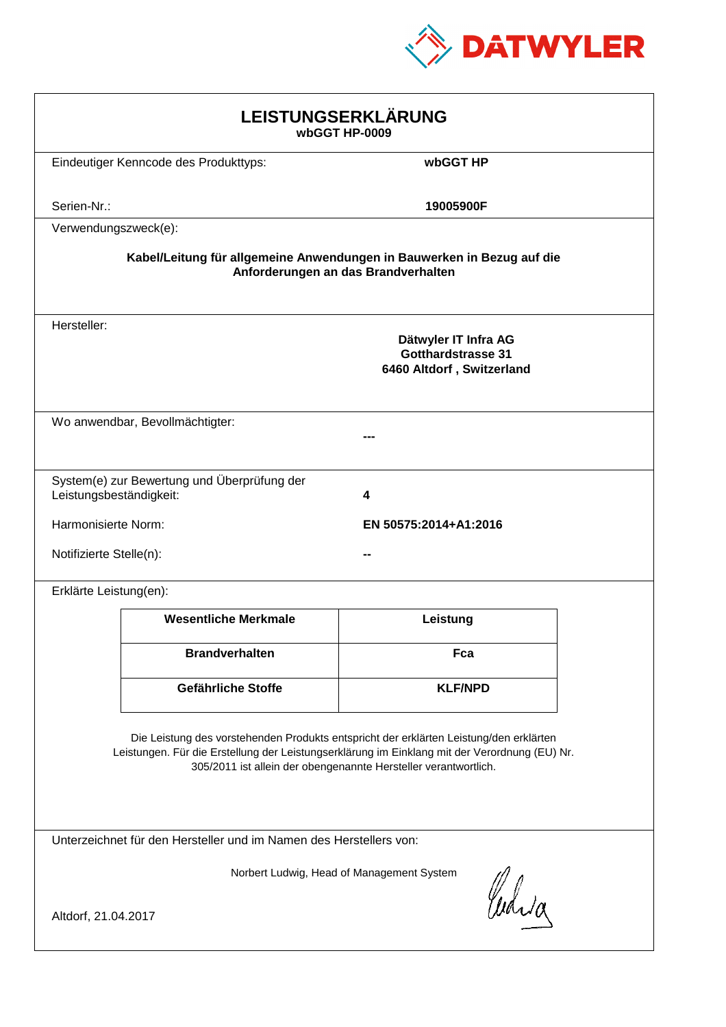

| LEISTUNGSERKLÄRUNG<br>wbGGT HP-0009                                                                                                                                                                                                                        |                                                                        |                                                                                |  |  |
|------------------------------------------------------------------------------------------------------------------------------------------------------------------------------------------------------------------------------------------------------------|------------------------------------------------------------------------|--------------------------------------------------------------------------------|--|--|
|                                                                                                                                                                                                                                                            | Eindeutiger Kenncode des Produkttyps:                                  | wbGGT HP                                                                       |  |  |
| Serien-Nr.:                                                                                                                                                                                                                                                |                                                                        | 19005900F                                                                      |  |  |
| Verwendungszweck(e):                                                                                                                                                                                                                                       |                                                                        |                                                                                |  |  |
|                                                                                                                                                                                                                                                            | Kabel/Leitung für allgemeine Anwendungen in Bauwerken in Bezug auf die | Anforderungen an das Brandverhalten                                            |  |  |
| Hersteller:                                                                                                                                                                                                                                                |                                                                        | Dätwyler IT Infra AG<br><b>Gotthardstrasse 31</b><br>6460 Altdorf, Switzerland |  |  |
|                                                                                                                                                                                                                                                            | Wo anwendbar, Bevollmächtigter:                                        |                                                                                |  |  |
| Leistungsbeständigkeit:                                                                                                                                                                                                                                    | System(e) zur Bewertung und Überprüfung der                            | 4                                                                              |  |  |
|                                                                                                                                                                                                                                                            | Harmonisierte Norm:<br>EN 50575:2014+A1:2016                           |                                                                                |  |  |
|                                                                                                                                                                                                                                                            | Notifizierte Stelle(n):                                                |                                                                                |  |  |
| Erklärte Leistung(en):                                                                                                                                                                                                                                     |                                                                        |                                                                                |  |  |
|                                                                                                                                                                                                                                                            | <b>Wesentliche Merkmale</b>                                            | Leistung                                                                       |  |  |
|                                                                                                                                                                                                                                                            | <b>Brandverhalten</b>                                                  | Fca                                                                            |  |  |
|                                                                                                                                                                                                                                                            | Gefährliche Stoffe                                                     | <b>KLF/NPD</b>                                                                 |  |  |
| Die Leistung des vorstehenden Produkts entspricht der erklärten Leistung/den erklärten<br>Leistungen. Für die Erstellung der Leistungserklärung im Einklang mit der Verordnung (EU) Nr.<br>305/2011 ist allein der obengenannte Hersteller verantwortlich. |                                                                        |                                                                                |  |  |
| Unterzeichnet für den Hersteller und im Namen des Herstellers von:                                                                                                                                                                                         |                                                                        |                                                                                |  |  |
| Norbert Ludwig, Head of Management System<br>Curia                                                                                                                                                                                                         |                                                                        |                                                                                |  |  |
| Altdorf, 21.04.2017                                                                                                                                                                                                                                        |                                                                        |                                                                                |  |  |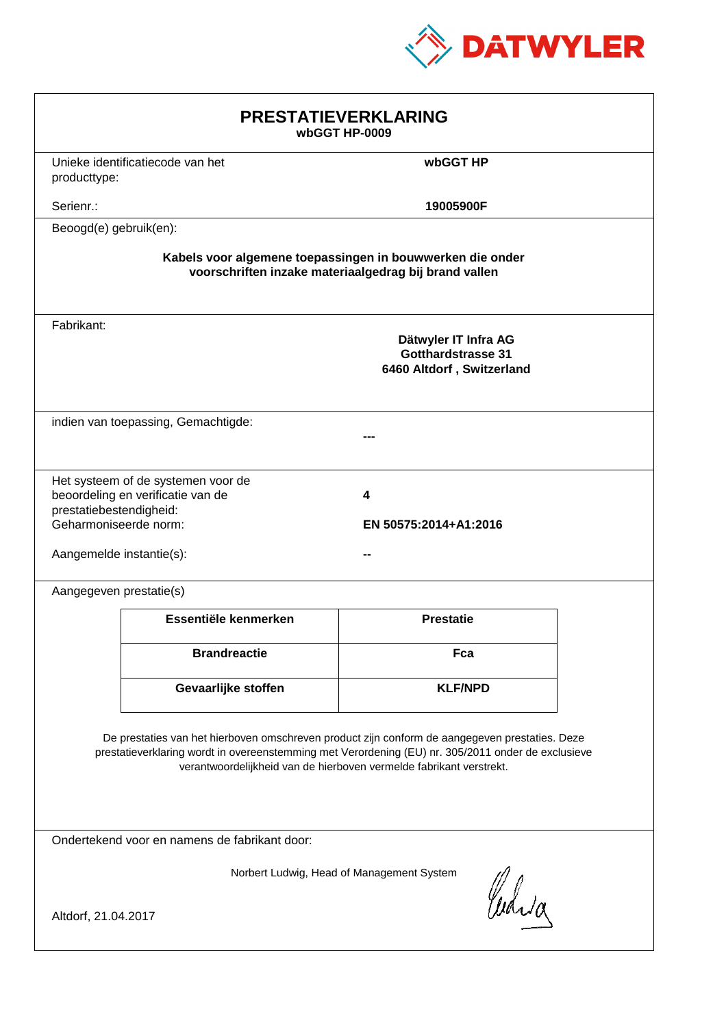

| <b>PRESTATIEVERKLARING</b><br>wbGGT HP-0009                                                                                                                                                                                                                                 |                                                                         |                                                                                |  |  |
|-----------------------------------------------------------------------------------------------------------------------------------------------------------------------------------------------------------------------------------------------------------------------------|-------------------------------------------------------------------------|--------------------------------------------------------------------------------|--|--|
| producttype:                                                                                                                                                                                                                                                                | Unieke identificatiecode van het                                        | wbGGT HP                                                                       |  |  |
| Serienr.:                                                                                                                                                                                                                                                                   |                                                                         | 19005900F                                                                      |  |  |
| Beoogd(e) gebruik(en):                                                                                                                                                                                                                                                      |                                                                         |                                                                                |  |  |
| Kabels voor algemene toepassingen in bouwwerken die onder<br>voorschriften inzake materiaalgedrag bij brand vallen                                                                                                                                                          |                                                                         |                                                                                |  |  |
| Fabrikant:                                                                                                                                                                                                                                                                  |                                                                         | Dätwyler IT Infra AG<br><b>Gotthardstrasse 31</b><br>6460 Altdorf, Switzerland |  |  |
|                                                                                                                                                                                                                                                                             | indien van toepassing, Gemachtigde:                                     |                                                                                |  |  |
| prestatiebestendigheid:<br>Geharmoniseerde norm:<br>Aangemelde instantie(s):                                                                                                                                                                                                | Het systeem of de systemen voor de<br>beoordeling en verificatie van de | 4<br>EN 50575:2014+A1:2016                                                     |  |  |
| Aangegeven prestatie(s)                                                                                                                                                                                                                                                     |                                                                         |                                                                                |  |  |
|                                                                                                                                                                                                                                                                             | Essentiële kenmerken                                                    | <b>Prestatie</b>                                                               |  |  |
|                                                                                                                                                                                                                                                                             | <b>Brandreactie</b>                                                     | Fca                                                                            |  |  |
|                                                                                                                                                                                                                                                                             | Gevaarlijke stoffen                                                     | <b>KLF/NPD</b>                                                                 |  |  |
| De prestaties van het hierboven omschreven product zijn conform de aangegeven prestaties. Deze<br>prestatieverklaring wordt in overeenstemming met Verordening (EU) nr. 305/2011 onder de exclusieve<br>verantwoordelijkheid van de hierboven vermelde fabrikant verstrekt. |                                                                         |                                                                                |  |  |
| Ondertekend voor en namens de fabrikant door:                                                                                                                                                                                                                               |                                                                         |                                                                                |  |  |
| Norbert Ludwig, Head of Management System<br>anda<br>Altdorf, 21.04.2017                                                                                                                                                                                                    |                                                                         |                                                                                |  |  |
|                                                                                                                                                                                                                                                                             |                                                                         |                                                                                |  |  |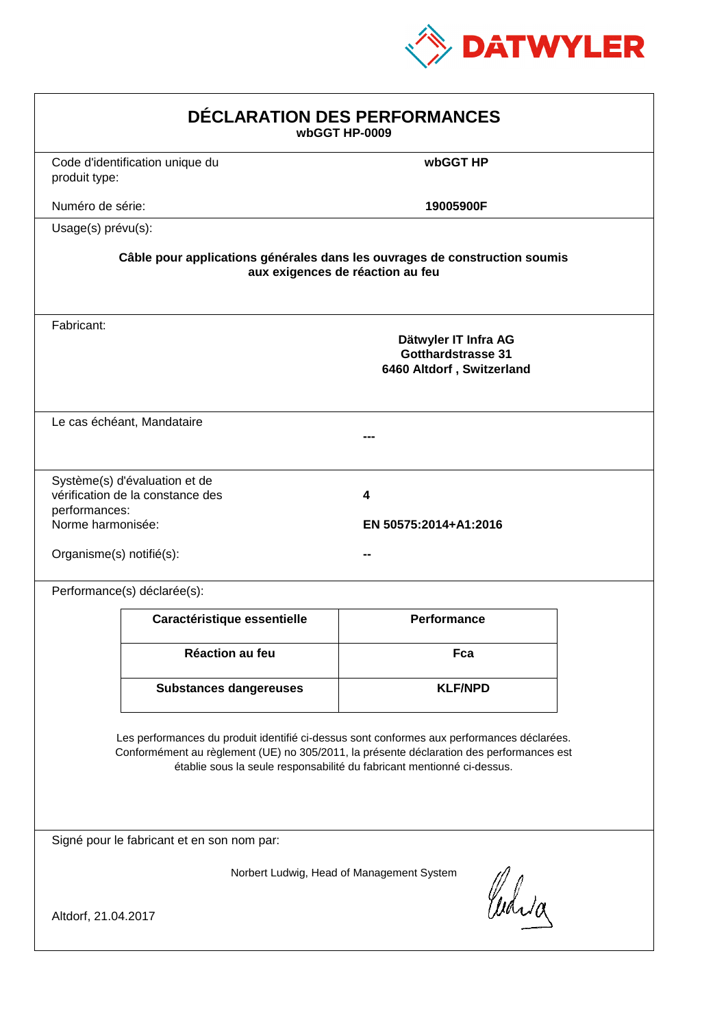

| DÉCLARATION DES PERFORMANCES<br>wbGGT HP-0009                                                                                                                                                                                                                    |                                                                                                                |                                                                                |  |  |  |
|------------------------------------------------------------------------------------------------------------------------------------------------------------------------------------------------------------------------------------------------------------------|----------------------------------------------------------------------------------------------------------------|--------------------------------------------------------------------------------|--|--|--|
| produit type:                                                                                                                                                                                                                                                    | Code d'identification unique du                                                                                | wbGGT HP                                                                       |  |  |  |
| Numéro de série:                                                                                                                                                                                                                                                 |                                                                                                                | 19005900F                                                                      |  |  |  |
| Usage(s) prévu(s):                                                                                                                                                                                                                                               |                                                                                                                |                                                                                |  |  |  |
|                                                                                                                                                                                                                                                                  | Câble pour applications générales dans les ouvrages de construction soumis<br>aux exigences de réaction au feu |                                                                                |  |  |  |
| Fabricant:                                                                                                                                                                                                                                                       |                                                                                                                | Dätwyler IT Infra AG<br><b>Gotthardstrasse 31</b><br>6460 Altdorf, Switzerland |  |  |  |
|                                                                                                                                                                                                                                                                  | Le cas échéant, Mandataire                                                                                     |                                                                                |  |  |  |
| performances:<br>Norme harmonisée:<br>Organisme(s) notifié(s):                                                                                                                                                                                                   | Système(s) d'évaluation et de<br>vérification de la constance des                                              | 4<br>EN 50575:2014+A1:2016                                                     |  |  |  |
|                                                                                                                                                                                                                                                                  | Performance(s) déclarée(s):                                                                                    |                                                                                |  |  |  |
|                                                                                                                                                                                                                                                                  | Caractéristique essentielle                                                                                    | <b>Performance</b>                                                             |  |  |  |
|                                                                                                                                                                                                                                                                  | Réaction au feu                                                                                                | Fca                                                                            |  |  |  |
|                                                                                                                                                                                                                                                                  | <b>Substances dangereuses</b>                                                                                  | <b>KLF/NPD</b>                                                                 |  |  |  |
| Les performances du produit identifié ci-dessus sont conformes aux performances déclarées.<br>Conformément au règlement (UE) no 305/2011, la présente déclaration des performances est<br>établie sous la seule responsabilité du fabricant mentionné ci-dessus. |                                                                                                                |                                                                                |  |  |  |
| Signé pour le fabricant et en son nom par:                                                                                                                                                                                                                       |                                                                                                                |                                                                                |  |  |  |
| Norbert Ludwig, Head of Management System<br>Curia<br>Altdorf, 21.04.2017                                                                                                                                                                                        |                                                                                                                |                                                                                |  |  |  |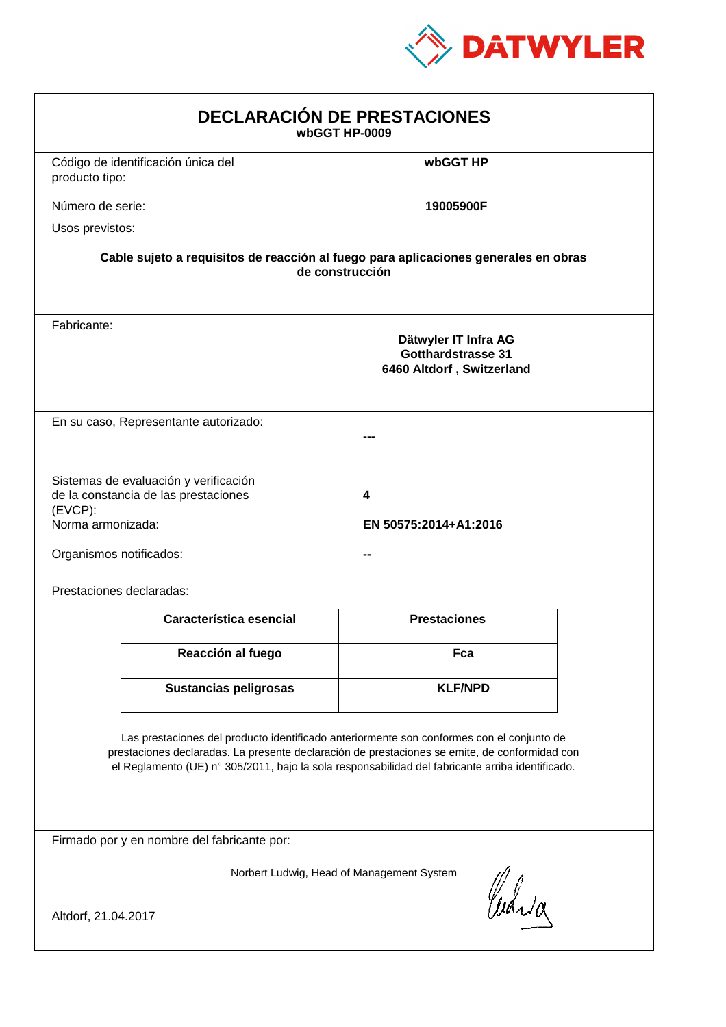

| <b>DECLARACIÓN DE PRESTACIONES</b><br>wbGGT HP-0009                                                                                                                                                                                                                                            |                                                                                                                                                             |                     |  |  |  |
|------------------------------------------------------------------------------------------------------------------------------------------------------------------------------------------------------------------------------------------------------------------------------------------------|-------------------------------------------------------------------------------------------------------------------------------------------------------------|---------------------|--|--|--|
| producto tipo:                                                                                                                                                                                                                                                                                 | Código de identificación única del                                                                                                                          | wbGGT HP            |  |  |  |
| Número de serie:                                                                                                                                                                                                                                                                               |                                                                                                                                                             | 19005900F           |  |  |  |
| Usos previstos:                                                                                                                                                                                                                                                                                |                                                                                                                                                             |                     |  |  |  |
| Cable sujeto a requisitos de reacción al fuego para aplicaciones generales en obras<br>de construcción                                                                                                                                                                                         |                                                                                                                                                             |                     |  |  |  |
| Fabricante:                                                                                                                                                                                                                                                                                    | Dätwyler IT Infra AG<br><b>Gotthardstrasse 31</b><br>6460 Altdorf, Switzerland                                                                              |                     |  |  |  |
|                                                                                                                                                                                                                                                                                                | En su caso, Representante autorizado:                                                                                                                       |                     |  |  |  |
| $(EVCP)$ :                                                                                                                                                                                                                                                                                     | Sistemas de evaluación y verificación<br>de la constancia de las prestaciones<br>4<br>Norma armonizada:<br>EN 50575:2014+A1:2016<br>Organismos notificados: |                     |  |  |  |
|                                                                                                                                                                                                                                                                                                | Prestaciones declaradas:                                                                                                                                    |                     |  |  |  |
|                                                                                                                                                                                                                                                                                                | Característica esencial                                                                                                                                     | <b>Prestaciones</b> |  |  |  |
|                                                                                                                                                                                                                                                                                                | Reacción al fuego                                                                                                                                           | Fca                 |  |  |  |
|                                                                                                                                                                                                                                                                                                | <b>Sustancias peligrosas</b>                                                                                                                                | <b>KLF/NPD</b>      |  |  |  |
| Las prestaciones del producto identificado anteriormente son conformes con el conjunto de<br>prestaciones declaradas. La presente declaración de prestaciones se emite, de conformidad con<br>el Reglamento (UE) nº 305/2011, bajo la sola responsabilidad del fabricante arriba identificado. |                                                                                                                                                             |                     |  |  |  |
| Firmado por y en nombre del fabricante por:                                                                                                                                                                                                                                                    |                                                                                                                                                             |                     |  |  |  |
| Norbert Ludwig, Head of Management System<br>anda<br>Altdorf, 21.04.2017                                                                                                                                                                                                                       |                                                                                                                                                             |                     |  |  |  |